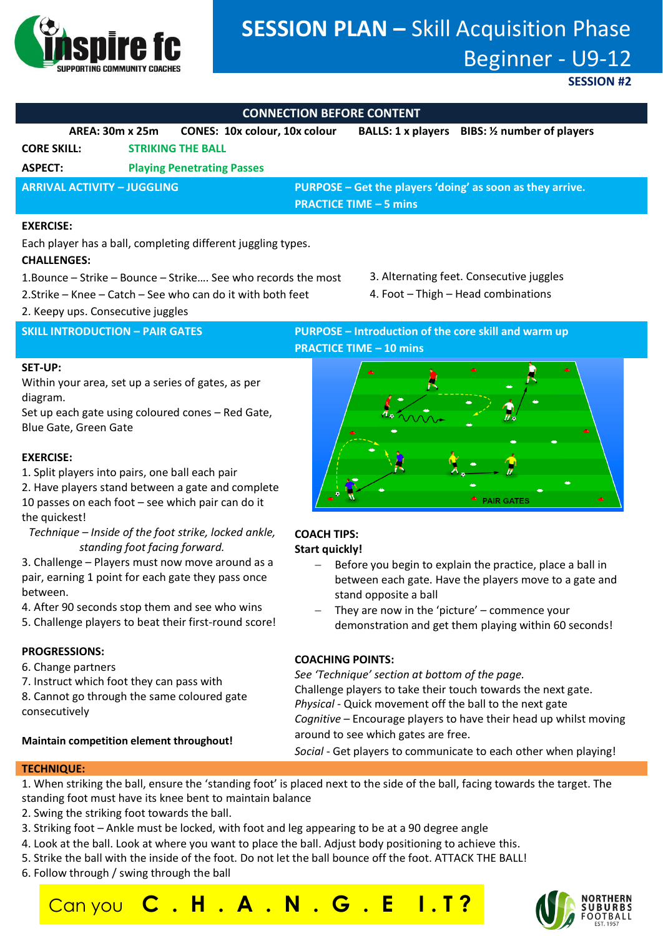

# **SESSION PLAN –** Skill Acquisition Phase Beginner - U9-12

### **SESSION #2**

### **CONNECTION BEFORE CONTENT**

|                                    | AREA: 30m x 25m | <b>CONES: 10x colour, 10x colour</b> |                                                           | BALLS: 1 x players BIBS: 1/2 number of players |  |
|------------------------------------|-----------------|--------------------------------------|-----------------------------------------------------------|------------------------------------------------|--|
| <b>CORE SKILL:</b>                 |                 | <b>STRIKING THE BALL</b>             |                                                           |                                                |  |
| <b>ASPECT:</b>                     |                 | <b>Playing Penetrating Passes</b>    |                                                           |                                                |  |
| <b>ARRIVAL ACTIVITY - JUGGLING</b> |                 |                                      | PURPOSE – Get the players 'doing' as soon as they arrive. |                                                |  |
|                                    |                 |                                      | <b>PRACTICE TIME - 5 mins</b>                             |                                                |  |

### **EXERCISE:**

Each player has a ball, completing different juggling types.

### **CHALLENGES:**

- 1.Bounce Strike Bounce Strike…. See who records the most
- 2.Strike Knee Catch See who can do it with both feet
- 2. Keepy ups. Consecutive juggles

### **SKILL INTRODUCTION – PAIR GATES PURPOSE – Introduction of the core skill and warm up PRACTICE TIME – 10 mins**

3. Alternating feet. Consecutive juggles 4. Foot – Thigh – Head combinations

### **SET-UP:**

Within your area, set up a series of gates, as per diagram.

Set up each gate using coloured cones – Red Gate, Blue Gate, Green Gate

### **EXERCISE:**

- 1. Split players into pairs, one ball each pair
- 2. Have players stand between a gate and complete 10 passes on each foot – see which pair can do it the quickest!
- *Technique – Inside of the foot strike, locked ankle, standing foot facing forward.*
- 3. Challenge Players must now move around as a pair, earning 1 point for each gate they pass once between.
- 4. After 90 seconds stop them and see who wins
- 5. Challenge players to beat their first-round score!

### **PROGRESSIONS:**

- 6. Change partners
- 7. Instruct which foot they can pass with
- 8. Cannot go through the same coloured gate consecutively

**Maintain competition element throughout!**

# **PAIR GATES**

### **COACH TIPS: Start quickly!**

- Before you begin to explain the practice, place a ball in between each gate. Have the players move to a gate and stand opposite a ball
- They are now in the 'picture' commence your demonstration and get them playing within 60 seconds!

### **COACHING POINTS:**

*See 'Technique' section at bottom of the page.*  Challenge players to take their touch towards the next gate. *Physical -* Quick movement off the ball to the next gate *Cognitive* – Encourage players to have their head up whilst moving around to see which gates are free.

*Social* - Get players to communicate to each other when playing!

### **TECHNIQUE:**

- 1. When striking the ball, ensure the 'standing foot' is placed next to the side of the ball, facing towards the target. The standing foot must have its knee bent to maintain balance
- 
- 2. Swing the striking foot towards the ball.
- 3. Striking foot Ankle must be locked, with foot and leg appearing to be at a 90 degree angle

Can you **C . H . A . N . G . E I . T ?**

- 4. Look at the ball. Look at where you want to place the ball. Adjust body positioning to achieve this.
- 5. Strike the ball with the inside of the foot. Do not let the ball bounce off the foot. ATTACK THE BALL!
- 6. Follow through / swing through the ball